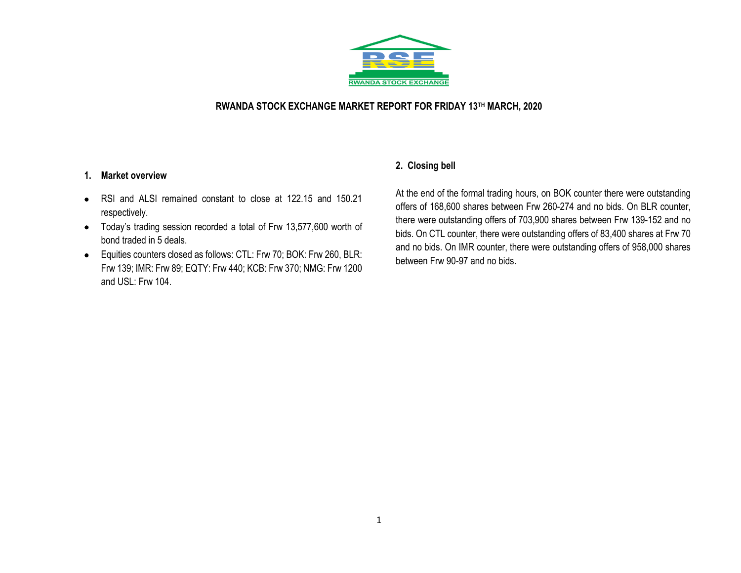

#### **RWANDA STOCK EXCHANGE MARKET REPORT FOR FRIDAY 13TH MARCH, 2020**

#### **1. Market overview**

- RSI and ALSI remained constant to close at 122.15 and 150.21 respectively.
- Today's trading session recorded a total of Frw 13,577,600 worth of bond traded in 5 deals.
- Equities counters closed as follows: CTL: Frw 70; BOK: Frw 260, BLR: Frw 139; IMR: Frw 89; EQTY: Frw 440; KCB: Frw 370; NMG: Frw 1200 and USL: Frw 104.

### **2. Closing bell**

At the end of the formal trading hours, on BOK counter there were outstanding offers of 168,600 shares between Frw 260-274 and no bids. On BLR counter, there were outstanding offers of 703,900 shares between Frw 139-152 and no bids. On CTL counter, there were outstanding offers of 83,400 shares at Frw 70 and no bids. On IMR counter, there were outstanding offers of 958,000 shares between Frw 90-97 and no bids.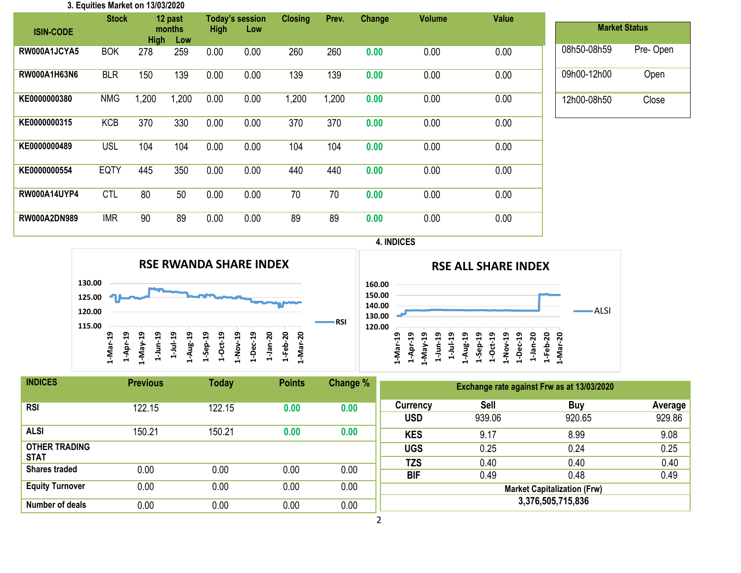| 3. Equities Market on 13/03/2020 |              |             |         |             |                 |                |       |        |               |              |             |                      |
|----------------------------------|--------------|-------------|---------|-------------|-----------------|----------------|-------|--------|---------------|--------------|-------------|----------------------|
|                                  | <b>Stock</b> |             | 12 past |             | Today's session | <b>Closing</b> | Prev. | Change | <b>Volume</b> | <b>Value</b> |             |                      |
| <b>ISIN-CODE</b>                 |              |             | months  | <b>High</b> | Low             |                |       |        |               |              |             | <b>Market Status</b> |
|                                  |              | <b>High</b> | Low     |             |                 |                |       |        |               |              |             |                      |
| RW000A1JCYA5                     | <b>BOK</b>   | 278         | 259     | 0.00        | 0.00            | 260            | 260   | 0.00   | 0.00          | 0.00         | 08h50-08h59 | Pre-Open             |
|                                  |              |             |         |             |                 |                |       |        |               |              |             |                      |
| <b>RW000A1H63N6</b>              | <b>BLR</b>   | 150         | 139     | 0.00        | 0.00            | 139            | 139   | 0.00   | 0.00          | 0.00         | 09h00-12h00 | Open                 |
|                                  |              |             |         |             |                 |                |       |        |               |              |             |                      |
| KE0000000380                     | <b>NMG</b>   | 1,200       | 1,200   | 0.00        | 0.00            | 1,200          | 1,200 | 0.00   | 0.00          | 0.00         | 12h00-08h50 | Close                |
|                                  |              |             |         |             |                 |                |       |        |               |              |             |                      |
| KE0000000315                     | <b>KCB</b>   | 370         | 330     | 0.00        | 0.00            | 370            | 370   | 0.00   | 0.00          | 0.00         |             |                      |
|                                  |              |             |         |             |                 |                |       |        |               |              |             |                      |
| KE0000000489                     | <b>USL</b>   | 104         | 104     | 0.00        | 0.00            | 104            | 104   | 0.00   | 0.00          | 0.00         |             |                      |
|                                  |              |             |         |             |                 |                |       |        |               |              |             |                      |
| KE0000000554                     | <b>EQTY</b>  | 445         | 350     | 0.00        | 0.00            | 440            | 440   | 0.00   | 0.00          | 0.00         |             |                      |
|                                  |              |             |         |             |                 |                |       |        |               |              |             |                      |
| <b>RW000A14UYP4</b>              | <b>CTL</b>   | 80          | 50      | 0.00        | 0.00            | 70             | 70    | 0.00   | 0.00          | 0.00         |             |                      |
|                                  |              |             |         |             |                 |                |       |        |               |              |             |                      |
| <b>RW000A2DN989</b>              | <b>IMR</b>   | 90          | 89      | 0.00        | 0.00            | 89             | 89    | 0.00   | 0.00          | 0.00         |             |                      |
|                                  |              |             |         |             |                 |                |       |        |               |              |             |                      |

#### **4. INDICES**





| <b>INDICES</b>                      | <b>Previous</b> | <b>Today</b> | <b>Points</b> | Change % | Exchange rate against Frw as at 13/03/2020 |                |                   |                   |  |  |
|-------------------------------------|-----------------|--------------|---------------|----------|--------------------------------------------|----------------|-------------------|-------------------|--|--|
| <b>RSI</b>                          | 122.15          | 122.15       | 0.00          | 0.00     | Currency<br><b>USD</b>                     | Sell<br>939.06 | Buy<br>920.65     | Average<br>929.86 |  |  |
| ALSI                                | 150.21          | 150.21       | 0.00          | 0.00     | <b>KES</b>                                 | 9.17           | 8.99              | 9.08              |  |  |
| <b>OTHER TRADING</b><br><b>STAT</b> |                 |              |               |          | <b>UGS</b><br><b>TZS</b>                   | 0.25<br>0.40   | 0.24<br>0.40      | 0.25<br>0.40      |  |  |
| <b>Shares traded</b>                | 0.00            | 0.00         | 0.00          | 0.00     | <b>BIF</b>                                 | 0.49           | 0.48              | 0.49              |  |  |
| <b>Equity Turnover</b>              | 0.00            | 0.00         | 0.00          | 0.00     | <b>Market Capitalization (Frw)</b>         |                |                   |                   |  |  |
| Number of deals                     | 0.00            | 0.00         | 0.00          | 0.00     |                                            |                | 3,376,505,715,836 |                   |  |  |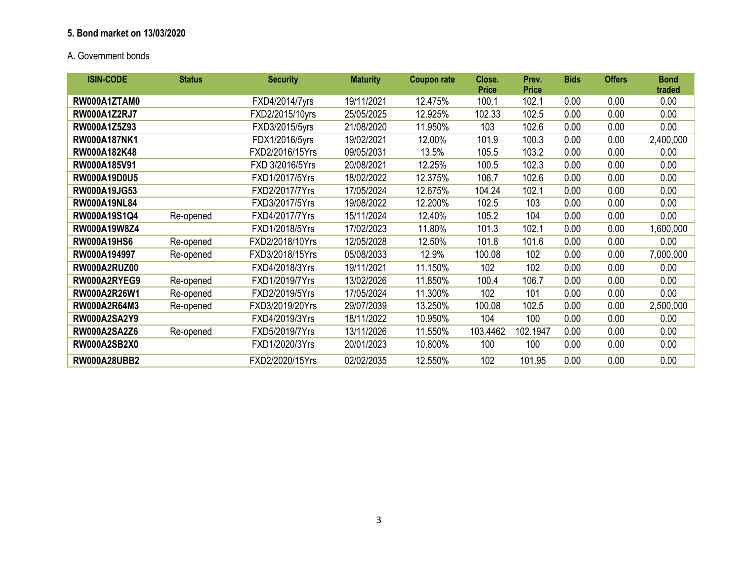## **5. Bond market on 13/03/2020**

# A**.** Government bonds

| <b>ISIN-CODE</b>    | <b>Status</b> | <b>Security</b> | <b>Maturity</b> | <b>Coupon rate</b> | Close.<br><b>Price</b> | Prev.<br><b>Price</b> | <b>Bids</b> | <b>Offers</b> | <b>Bond</b><br>traded |
|---------------------|---------------|-----------------|-----------------|--------------------|------------------------|-----------------------|-------------|---------------|-----------------------|
| RW000A1ZTAM0        |               | FXD4/2014/7yrs  | 19/11/2021      | 12.475%            | 100.1                  | 102.1                 | 0.00        | 0.00          | 0.00                  |
| <b>RW000A1Z2RJ7</b> |               | FXD2/2015/10yrs | 25/05/2025      | 12.925%            | 102.33                 | 102.5                 | 0.00        | 0.00          | 0.00                  |
| RW000A1Z5Z93        |               | FXD3/2015/5yrs  | 21/08/2020      | 11.950%            | 103                    | 102.6                 | 0.00        | 0.00          | 0.00                  |
| <b>RW000A187NK1</b> |               | FDX1/2016/5yrs  | 19/02/2021      | 12.00%             | 101.9                  | 100.3                 | 0.00        | 0.00          | 2,400,000             |
| RW000A182K48        |               | FXD2/2016/15Yrs | 09/05/2031      | 13.5%              | 105.5                  | 103.2                 | 0.00        | 0.00          | 0.00                  |
| RW000A185V91        |               | FXD 3/2016/5Yrs | 20/08/2021      | 12.25%             | 100.5                  | 102.3                 | 0.00        | 0.00          | 0.00                  |
| RW000A19D0U5        |               | FXD1/2017/5Yrs  | 18/02/2022      | 12.375%            | 106.7                  | 102.6                 | 0.00        | 0.00          | 0.00                  |
| RW000A19JG53        |               | FXD2/2017/7Yrs  | 17/05/2024      | 12.675%            | 104.24                 | 102.1                 | 0.00        | 0.00          | 0.00                  |
| <b>RW000A19NL84</b> |               | FXD3/2017/5Yrs  | 19/08/2022      | 12.200%            | 102.5                  | 103                   | 0.00        | 0.00          | 0.00                  |
| RW000A19S1Q4        | Re-opened     | FXD4/2017/7Yrs  | 15/11/2024      | 12.40%             | 105.2                  | 104                   | 0.00        | 0.00          | 0.00                  |
| RW000A19W8Z4        |               | FXD1/2018/5Yrs  | 17/02/2023      | 11.80%             | 101.3                  | 102.1                 | 0.00        | 0.00          | 1,600,000             |
| <b>RW000A19HS6</b>  | Re-opened     | FXD2/2018/10Yrs | 12/05/2028      | 12.50%             | 101.8                  | 101.6                 | 0.00        | 0.00          | 0.00                  |
| RW000A194997        | Re-opened     | FXD3/2018/15Yrs | 05/08/2033      | 12.9%              | 100.08                 | 102                   | 0.00        | 0.00          | 7,000,000             |
| <b>RW000A2RUZ00</b> |               | FXD4/2018/3Yrs  | 19/11/2021      | 11.150%            | 102                    | 102                   | 0.00        | 0.00          | 0.00                  |
| RW000A2RYEG9        | Re-opened     | FXD1/2019/7Yrs  | 13/02/2026      | 11.850%            | 100.4                  | 106.7                 | 0.00        | 0.00          | 0.00                  |
| RW000A2R26W1        | Re-opened     | FXD2/2019/5Yrs  | 17/05/2024      | 11.300%            | 102                    | 101                   | 0.00        | 0.00          | 0.00                  |
| RW000A2R64M3        | Re-opened     | FXD3/2019/20Yrs | 29/07/2039      | 13.250%            | 100.08                 | 102.5                 | 0.00        | 0.00          | 2,500,000             |
| <b>RW000A2SA2Y9</b> |               | FXD4/2019/3Yrs  | 18/11/2022      | 10.950%            | 104                    | 100                   | 0.00        | 0.00          | 0.00                  |
| <b>RW000A2SA2Z6</b> | Re-opened     | FXD5/2019/7Yrs  | 13/11/2026      | 11.550%            | 103.4462               | 102.1947              | 0.00        | 0.00          | 0.00                  |
| <b>RW000A2SB2X0</b> |               | FXD1/2020/3Yrs  | 20/01/2023      | 10.800%            | 100                    | 100                   | 0.00        | 0.00          | 0.00                  |
| <b>RW000A28UBB2</b> |               | FXD2/2020/15Yrs | 02/02/2035      | 12.550%            | 102                    | 101.95                | 0.00        | 0.00          | 0.00                  |